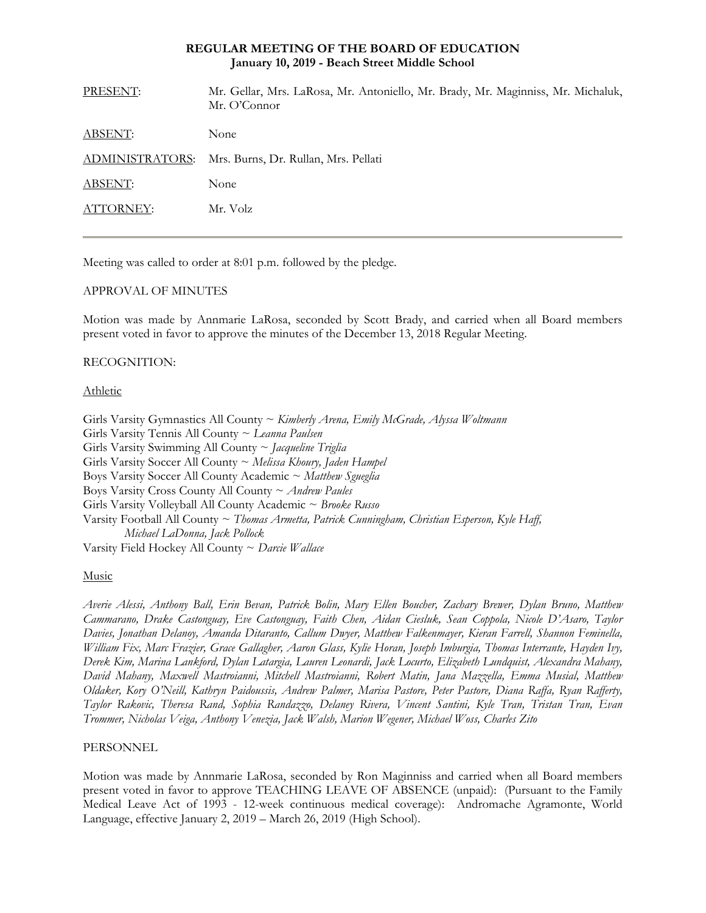### **REGULAR MEETING OF THE BOARD OF EDUCATION January 10, 2019 - Beach Street Middle School**

| PRESENT:        | Mr. Gellar, Mrs. LaRosa, Mr. Antoniello, Mr. Brady, Mr. Maginniss, Mr. Michaluk,<br>Mr. O'Connor |
|-----------------|--------------------------------------------------------------------------------------------------|
| <b>ABSENT:</b>  | None                                                                                             |
| ADMINISTRATORS: | Mrs. Burns, Dr. Rullan, Mrs. Pellati                                                             |
| ABSENT:         | None                                                                                             |
| ATTORNEY:       | Mr. Volz                                                                                         |
|                 |                                                                                                  |

Meeting was called to order at 8:01 p.m. followed by the pledge.

## APPROVAL OF MINUTES

Motion was made by Annmarie LaRosa, seconded by Scott Brady, and carried when all Board members present voted in favor to approve the minutes of the December 13, 2018 Regular Meeting.

## RECOGNITION:

### Athletic

Girls Varsity Gymnastics All County ~ *Kimberly Arena, Emily McGrade, Alyssa Woltmann* Girls Varsity Tennis All County ~ *Leanna Paulsen* Girls Varsity Swimming All County ~ *Jacqueline Triglia* Girls Varsity Soccer All County ~ *Melissa Khoury, Jaden Hampel* Boys Varsity Soccer All County Academic ~ *Matthew Sgueglia* Boys Varsity Cross County All County ~ *Andrew Paules* Girls Varsity Volleyball All County Academic ~ *Brooke Russo* Varsity Football All County ~ *Thomas Armetta, Patrick Cunningham, Christian Esperson, Kyle Haff, Michael LaDonna, Jack Pollock* Varsity Field Hockey All County ~ *Darcie Wallace*

# Music

*Averie Alessi, Anthony Ball, Erin Bevan, Patrick Bolin, Mary Ellen Boucher, Zachary Brewer, Dylan Bruno, Matthew Cammarano, Drake Castonguay, Eve Castonguay, Faith Chen, Aidan Ciesluk, Sean Coppola, Nicole D'Asaro, Taylor Davies, Jonathan Delanoy, Amanda Ditaranto, Callum Dwyer, Matthew Falkenmayer, Kieran Farrell, Shannon Feminella, William Fix, Marc Frazier, Grace Gallagher, Aaron Glass, Kylie Horan, Joseph Imburgia, Thomas Interrante, Hayden Ivy, Derek Kim, Marina Lankford, Dylan Latargia, Lauren Leonardi, Jack Locurto, Elizabeth Lundquist, Alexandra Mahany, David Mahany, Maxwell Mastroianni, Mitchell Mastroianni, Robert Matin, Jana Mazzella, Emma Musial, Matthew Oldaker, Kory O'Neill, Kathryn Paidoussis, Andrew Palmer, Marisa Pastore, Peter Pastore, Diana Raffa, Ryan Rafferty, Taylor Rakovic, Theresa Rand, Sophia Randazzo, Delaney Rivera, Vincent Santini, Kyle Tran, Tristan Tran, Evan Trommer, Nicholas Veiga, Anthony Venezia, Jack Walsh, Marion Wegener, Michael Woss, Charles Zito* 

### PERSONNEL

Motion was made by Annmarie LaRosa, seconded by Ron Maginniss and carried when all Board members present voted in favor to approve TEACHING LEAVE OF ABSENCE (unpaid): (Pursuant to the Family Medical Leave Act of 1993 - 12-week continuous medical coverage): Andromache Agramonte, World Language, effective January 2, 2019 – March 26, 2019 (High School).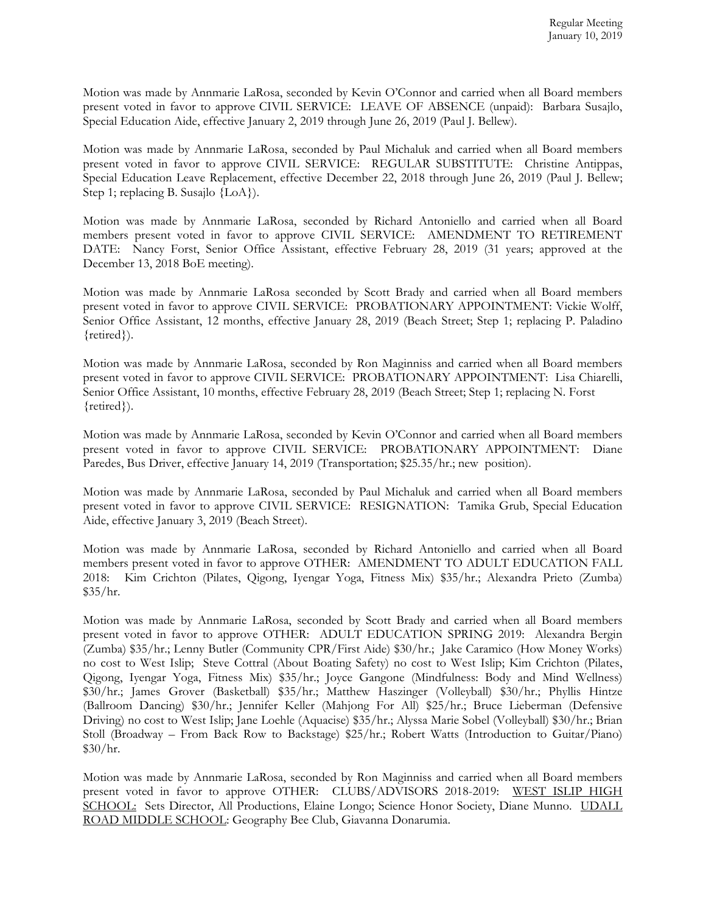Motion was made by Annmarie LaRosa, seconded by Kevin O'Connor and carried when all Board members present voted in favor to approve CIVIL SERVICE: LEAVE OF ABSENCE (unpaid): Barbara Susajlo, Special Education Aide, effective January 2, 2019 through June 26, 2019 (Paul J. Bellew).

Motion was made by Annmarie LaRosa, seconded by Paul Michaluk and carried when all Board members present voted in favor to approve CIVIL SERVICE: REGULAR SUBSTITUTE: Christine Antippas, Special Education Leave Replacement, effective December 22, 2018 through June 26, 2019 (Paul J. Bellew; Step 1; replacing B. Susajlo {LoA}).

Motion was made by Annmarie LaRosa, seconded by Richard Antoniello and carried when all Board members present voted in favor to approve CIVIL SERVICE: AMENDMENT TO RETIREMENT DATE: Nancy Forst, Senior Office Assistant, effective February 28, 2019 (31 years; approved at the December 13, 2018 BoE meeting).

Motion was made by Annmarie LaRosa seconded by Scott Brady and carried when all Board members present voted in favor to approve CIVIL SERVICE: PROBATIONARY APPOINTMENT: Vickie Wolff, Senior Office Assistant, 12 months, effective January 28, 2019 (Beach Street; Step 1; replacing P. Paladino {retired}).

Motion was made by Annmarie LaRosa, seconded by Ron Maginniss and carried when all Board members present voted in favor to approve CIVIL SERVICE: PROBATIONARY APPOINTMENT: Lisa Chiarelli, Senior Office Assistant, 10 months, effective February 28, 2019 (Beach Street; Step 1; replacing N. Forst {retired}).

Motion was made by Annmarie LaRosa, seconded by Kevin O'Connor and carried when all Board members present voted in favor to approve CIVIL SERVICE: PROBATIONARY APPOINTMENT: Diane Paredes, Bus Driver, effective January 14, 2019 (Transportation; \$25.35/hr.; new position).

Motion was made by Annmarie LaRosa, seconded by Paul Michaluk and carried when all Board members present voted in favor to approve CIVIL SERVICE: RESIGNATION: Tamika Grub, Special Education Aide, effective January 3, 2019 (Beach Street).

Motion was made by Annmarie LaRosa, seconded by Richard Antoniello and carried when all Board members present voted in favor to approve OTHER: AMENDMENT TO ADULT EDUCATION FALL 2018: Kim Crichton (Pilates, Qigong, Iyengar Yoga, Fitness Mix) \$35/hr.; Alexandra Prieto (Zumba) \$35/hr.

Motion was made by Annmarie LaRosa, seconded by Scott Brady and carried when all Board members present voted in favor to approve OTHER: ADULT EDUCATION SPRING 2019: Alexandra Bergin (Zumba) \$35/hr.; Lenny Butler (Community CPR/First Aide) \$30/hr.; Jake Caramico (How Money Works) no cost to West Islip; Steve Cottral (About Boating Safety) no cost to West Islip; Kim Crichton (Pilates, Qigong, Iyengar Yoga, Fitness Mix) \$35/hr.; Joyce Gangone (Mindfulness: Body and Mind Wellness) \$30/hr.; James Grover (Basketball) \$35/hr.; Matthew Haszinger (Volleyball) \$30/hr.; Phyllis Hintze (Ballroom Dancing) \$30/hr.; Jennifer Keller (Mahjong For All) \$25/hr.; Bruce Lieberman (Defensive Driving) no cost to West Islip; Jane Loehle (Aquacise) \$35/hr.; Alyssa Marie Sobel (Volleyball) \$30/hr.; Brian Stoll (Broadway – From Back Row to Backstage) \$25/hr.; Robert Watts (Introduction to Guitar/Piano) \$30/hr.

Motion was made by Annmarie LaRosa, seconded by Ron Maginniss and carried when all Board members present voted in favor to approve OTHER: CLUBS/ADVISORS 2018-2019: WEST ISLIP HIGH SCHOOL: Sets Director, All Productions, Elaine Longo; Science Honor Society, Diane Munno. UDALL ROAD MIDDLE SCHOOL: Geography Bee Club, Giavanna Donarumia.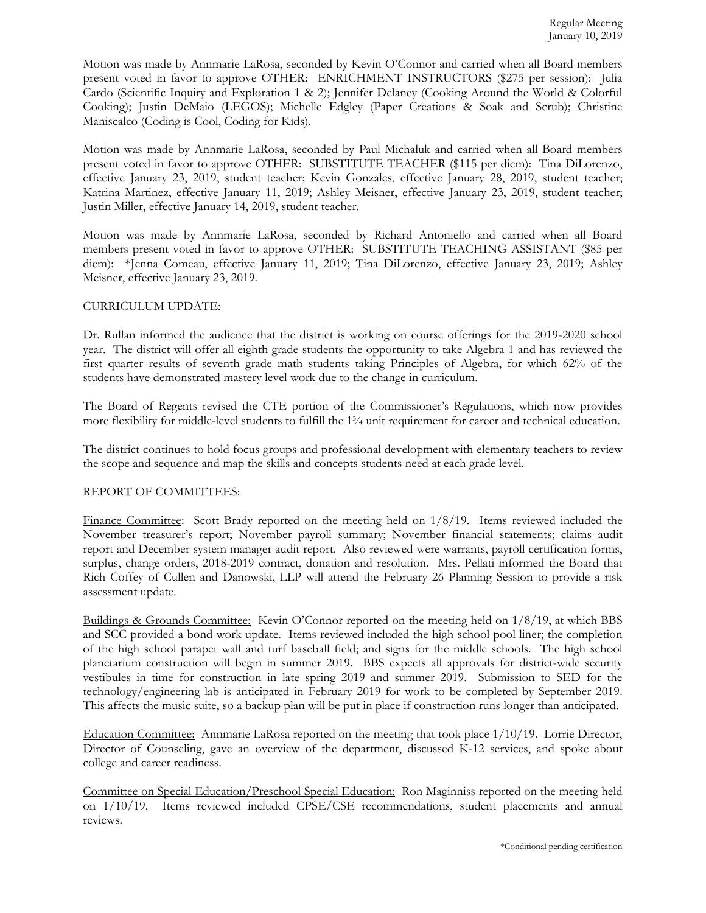Motion was made by Annmarie LaRosa, seconded by Kevin O'Connor and carried when all Board members present voted in favor to approve OTHER: ENRICHMENT INSTRUCTORS (\$275 per session): Julia Cardo (Scientific Inquiry and Exploration 1 & 2); Jennifer Delaney (Cooking Around the World & Colorful Cooking); Justin DeMaio (LEGOS); Michelle Edgley (Paper Creations & Soak and Scrub); Christine Maniscalco (Coding is Cool, Coding for Kids).

Motion was made by Annmarie LaRosa, seconded by Paul Michaluk and carried when all Board members present voted in favor to approve OTHER: SUBSTITUTE TEACHER (\$115 per diem): Tina DiLorenzo, effective January 23, 2019, student teacher; Kevin Gonzales, effective January 28, 2019, student teacher; Katrina Martinez, effective January 11, 2019; Ashley Meisner, effective January 23, 2019, student teacher; Justin Miller, effective January 14, 2019, student teacher.

Motion was made by Annmarie LaRosa, seconded by Richard Antoniello and carried when all Board members present voted in favor to approve OTHER: SUBSTITUTE TEACHING ASSISTANT (\$85 per diem): \*Jenna Comeau, effective January 11, 2019; Tina DiLorenzo, effective January 23, 2019; Ashley Meisner, effective January 23, 2019.

### CURRICULUM UPDATE:

Dr. Rullan informed the audience that the district is working on course offerings for the 2019-2020 school year. The district will offer all eighth grade students the opportunity to take Algebra 1 and has reviewed the first quarter results of seventh grade math students taking Principles of Algebra, for which 62% of the students have demonstrated mastery level work due to the change in curriculum.

The Board of Regents revised the CTE portion of the Commissioner's Regulations, which now provides more flexibility for middle-level students to fulfill the 1¾ unit requirement for career and technical education.

The district continues to hold focus groups and professional development with elementary teachers to review the scope and sequence and map the skills and concepts students need at each grade level.

### REPORT OF COMMITTEES:

Finance Committee: Scott Brady reported on the meeting held on 1/8/19. Items reviewed included the November treasurer's report; November payroll summary; November financial statements; claims audit report and December system manager audit report. Also reviewed were warrants, payroll certification forms, surplus, change orders, 2018-2019 contract, donation and resolution. Mrs. Pellati informed the Board that Rich Coffey of Cullen and Danowski, LLP will attend the February 26 Planning Session to provide a risk assessment update.

Buildings & Grounds Committee: Kevin O'Connor reported on the meeting held on 1/8/19, at which BBS and SCC provided a bond work update. Items reviewed included the high school pool liner; the completion of the high school parapet wall and turf baseball field; and signs for the middle schools. The high school planetarium construction will begin in summer 2019. BBS expects all approvals for district-wide security vestibules in time for construction in late spring 2019 and summer 2019. Submission to SED for the technology/engineering lab is anticipated in February 2019 for work to be completed by September 2019. This affects the music suite, so a backup plan will be put in place if construction runs longer than anticipated.

Education Committee: Annmarie LaRosa reported on the meeting that took place 1/10/19. Lorrie Director, Director of Counseling, gave an overview of the department, discussed K-12 services, and spoke about college and career readiness.

Committee on Special Education/Preschool Special Education: Ron Maginniss reported on the meeting held on 1/10/19. Items reviewed included CPSE/CSE recommendations, student placements and annual reviews.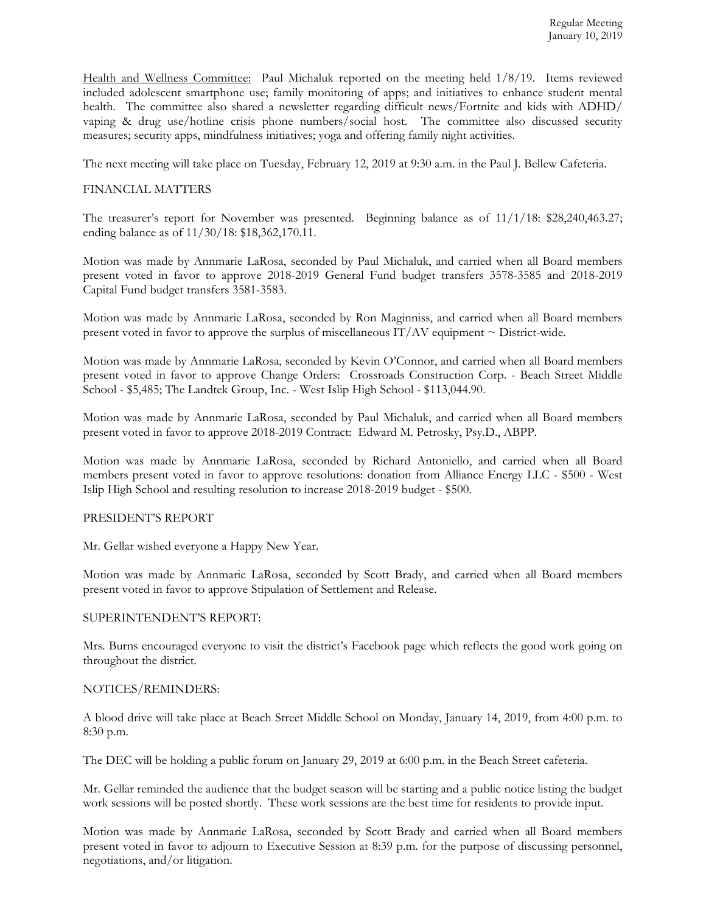Health and Wellness Committee: Paul Michaluk reported on the meeting held 1/8/19. Items reviewed included adolescent smartphone use; family monitoring of apps; and initiatives to enhance student mental health. The committee also shared a newsletter regarding difficult news/Fortnite and kids with ADHD/ vaping & drug use/hotline crisis phone numbers/social host. The committee also discussed security measures; security apps, mindfulness initiatives; yoga and offering family night activities.

The next meeting will take place on Tuesday, February 12, 2019 at 9:30 a.m. in the Paul J. Bellew Cafeteria.

## FINANCIAL MATTERS

The treasurer's report for November was presented. Beginning balance as of 11/1/18: \$28,240,463.27; ending balance as of 11/30/18: \$18,362,170.11.

Motion was made by Annmarie LaRosa, seconded by Paul Michaluk, and carried when all Board members present voted in favor to approve 2018-2019 General Fund budget transfers 3578-3585 and 2018-2019 Capital Fund budget transfers 3581-3583.

Motion was made by Annmarie LaRosa, seconded by Ron Maginniss, and carried when all Board members present voted in favor to approve the surplus of miscellaneous IT/AV equipment  $\sim$  District-wide.

Motion was made by Annmarie LaRosa, seconded by Kevin O'Connor, and carried when all Board members present voted in favor to approve Change Orders: Crossroads Construction Corp. - Beach Street Middle School - \$5,485; The Landtek Group, Inc. - West Islip High School - \$113,044.90.

Motion was made by Annmarie LaRosa, seconded by Paul Michaluk, and carried when all Board members present voted in favor to approve 2018-2019 Contract: Edward M. Petrosky, Psy.D., ABPP.

Motion was made by Annmarie LaRosa, seconded by Richard Antoniello, and carried when all Board members present voted in favor to approve resolutions: donation from Alliance Energy LLC - \$500 - West Islip High School and resulting resolution to increase 2018-2019 budget - \$500.

### PRESIDENT'S REPORT

Mr. Gellar wished everyone a Happy New Year.

Motion was made by Annmarie LaRosa, seconded by Scott Brady, and carried when all Board members present voted in favor to approve Stipulation of Settlement and Release.

### SUPERINTENDENT'S REPORT:

Mrs. Burns encouraged everyone to visit the district's Facebook page which reflects the good work going on throughout the district.

### NOTICES/REMINDERS:

A blood drive will take place at Beach Street Middle School on Monday, January 14, 2019, from 4:00 p.m. to 8:30 p.m.

The DEC will be holding a public forum on January 29, 2019 at 6:00 p.m. in the Beach Street cafeteria.

Mr. Gellar reminded the audience that the budget season will be starting and a public notice listing the budget work sessions will be posted shortly. These work sessions are the best time for residents to provide input.

Motion was made by Annmarie LaRosa, seconded by Scott Brady and carried when all Board members present voted in favor to adjourn to Executive Session at 8:39 p.m. for the purpose of discussing personnel, negotiations, and/or litigation.